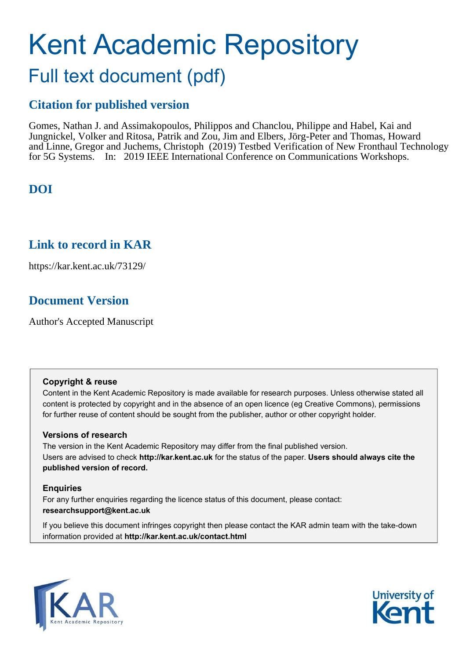# Kent Academic Repository Full text document (pdf)

### **Citation for published version**

Gomes, Nathan J. and Assimakopoulos, Philippos and Chanclou, Philippe and Habel, Kai and Jungnickel, Volker and Ritosa, Patrik and Zou, Jim and Elbers, Jörg-Peter and Thomas, Howard and Linne, Gregor and Juchems, Christoph (2019) Testbed Verification of New Fronthaul Technology for 5G Systems. In: 2019 IEEE International Conference on Communications Workshops.

### **DOI**

### **Link to record in KAR**

https://kar.kent.ac.uk/73129/

### **Document Version**

Author's Accepted Manuscript

#### **Copyright & reuse**

Content in the Kent Academic Repository is made available for research purposes. Unless otherwise stated all content is protected by copyright and in the absence of an open licence (eg Creative Commons), permissions for further reuse of content should be sought from the publisher, author or other copyright holder.

#### **Versions of research**

The version in the Kent Academic Repository may differ from the final published version. Users are advised to check **http://kar.kent.ac.uk** for the status of the paper. **Users should always cite the published version of record.**

#### **Enquiries**

For any further enquiries regarding the licence status of this document, please contact: **researchsupport@kent.ac.uk**

If you believe this document infringes copyright then please contact the KAR admin team with the take-down information provided at **http://kar.kent.ac.uk/contact.html**



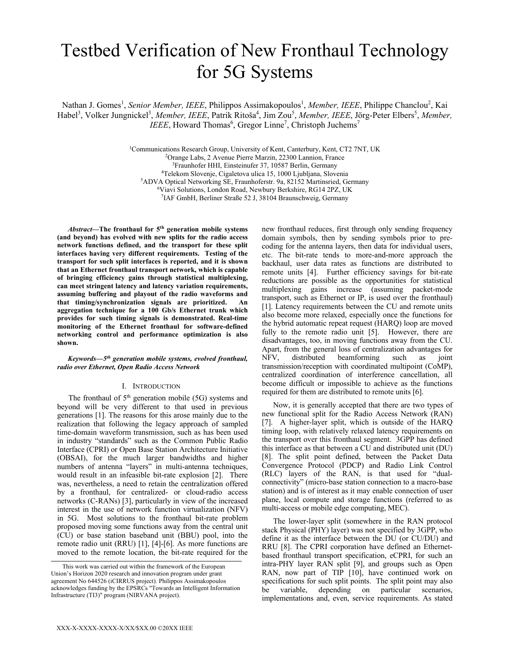## Testbed Verification of New Fronthaul Technology for 5G Systems

Nathan J. Gomes<sup>1</sup>, *Senior Member, IEEE*, Philippos Assimakopoulos<sup>1</sup>, *Member, IEEE*, Philippe Chanclou<sup>2</sup>, Kai Habel<sup>3</sup>, Volker Jungnickel<sup>3</sup>, Member, IEEE, Patrik Ritoša<sup>4</sup>, Jim Zou<sup>5</sup>, Member, IEEE, Jörg-Peter Elbers<sup>5</sup>, Member, *IEEE*, Howard Thomas<sup>6</sup>, Gregor Linne<sup>7</sup>, Christoph Juchems<sup>7</sup>

> Communications Research Group, University of Kent, Canterbury, Kent, CT2 7NT, UK Orange Labs, 2 Avenue Pierre Marzin, 22300 Lannion, France Fraunhofer HHI, Einsteinufer 37, 10587 Berlin, Germany Telekom Slovenje, Cigaletova ulica 15, 1000 Ljubljana, Slovenia ADVA Optical Networking SE, Fraunhoferstr. 9a, 82152 Martinsried, Germany Viavi Solutions, London Road, Newbury Berkshire, RG14 2PZ, UK IAF GmbH, Berliner Straße 52 J, 38104 Braunschweig, Germany

*Abstract***—The fronthaul for 5th generation mobile systems (and beyond) has evolved with new splits for the radio access network functions defined, and the transport for these split interfaces having very different requirements. Testing of the transport for such split interfaces is reported, and it is shown that an Ethernet fronthaul transport network, which is capable of bringing efficiency gains through statistical multiplexing, can meet stringent latency and latency variation requirements, assuming buffering and playout of the radio waveforms and that timing/synchronization signals are prioritized. An aggregation technique for a 100 Gb/s Ethernet trunk which provides for such timing signals is demonstrated. Real-time monitoring of the Ethernet fronthaul for software-defined networking control and performance optimization is also shown.** 

#### *Keywords—5th generation mobile systems, evolved fronthaul, radio over Ethernet, Open Radio Access Network*

#### I. INTRODUCTION

The fronthaul of  $5<sup>th</sup>$  generation mobile (5G) systems and beyond will be very different to that used in previous generations [1]. The reasons for this arose mainly due to the realization that following the legacy approach of sampled time-domain waveform transmission, such as has been used in industry "standards" such as the Common Public Radio Interface (CPRI) or Open Base Station Architecture Initiative (OBSAI), for the much larger bandwidths and higher numbers of antenna "layers" in multi-antenna techniques, would result in an infeasible bit-rate explosion [2]. There was, nevertheless, a need to retain the centralization offered by a fronthaul, for centralized- or cloud-radio access networks (C-RANs) [3], particularly in view of the increased interest in the use of network function virtualization (NFV) in 5G. Most solutions to the fronthaul bit-rate problem proposed moving some functions away from the central unit (CU) or base station baseband unit (BBU) pool, into the remote radio unit (RRU) [1], [4]-[6]. As more functions are moved to the remote location, the bit-rate required for the

new fronthaul reduces, first through only sending frequency domain symbols, then by sending symbols prior to precoding for the antenna layers, then data for individual users, etc. The bit-rate tends to more-and-more approach the backhaul, user data rates as functions are distributed to remote units [4]. Further efficiency savings for bit-rate reductions are possible as the opportunities for statistical multiplexing gains increase (assuming packet-mode transport, such as Ethernet or IP, is used over the fronthaul) [1]. Latency requirements between the CU and remote units also become more relaxed, especially once the functions for the hybrid automatic repeat request (HARQ) loop are moved fully to the remote radio unit [5]. However, there are disadvantages, too, in moving functions away from the CU. Apart, from the general loss of centralization advantages for<br>NFV, distributed beamforming such as joint distributed beamforming such as joint transmission/reception with coordinated multipoint (CoMP), centralized coordination of interference cancellation, all become difficult or impossible to achieve as the functions required for them are distributed to remote units [6].

Now, it is generally accepted that there are two types of new functional split for the Radio Access Network (RAN) [7]. A higher-layer split, which is outside of the HARQ timing loop, with relatively relaxed latency requirements on the transport over this fronthaul segment. 3GPP has defined this interface as that between a CU and distributed unit (DU) [8]. The split point defined, between the Packet Data Convergence Protocol (PDCP) and Radio Link Control (RLC) layers of the RAN, is that used for "dualconnectivity" (micro-base station connection to a macro-base station) and is of interest as it may enable connection of user plane, local compute and storage functions (referred to as multi-access or mobile edge computing, MEC).

The lower-layer split (somewhere in the RAN protocol stack Physical (PHY) layer) was not specified by 3GPP, who define it as the interface between the DU (or CU/DU) and RRU [8]. The CPRI corporation have defined an Ethernetbased fronthaul transport specification, eCPRI, for such an intra-PHY layer RAN split [9], and groups such as Open RAN, now part of TIP [10], have continued work on specifications for such split points. The split point may also be variable, depending on particular scenarios, implementations and, even, service requirements. As stated

This work was carried out within the framework of the European Union's Horizon 2020 research and innovation program under grant agreement No 644526 (iCIRRUS project). Philippos Assimakopoulos acknowledges funding by the EPSRCs "Towards an Intelligent Information Infrastructure (TI3)" program (NIRVANA project).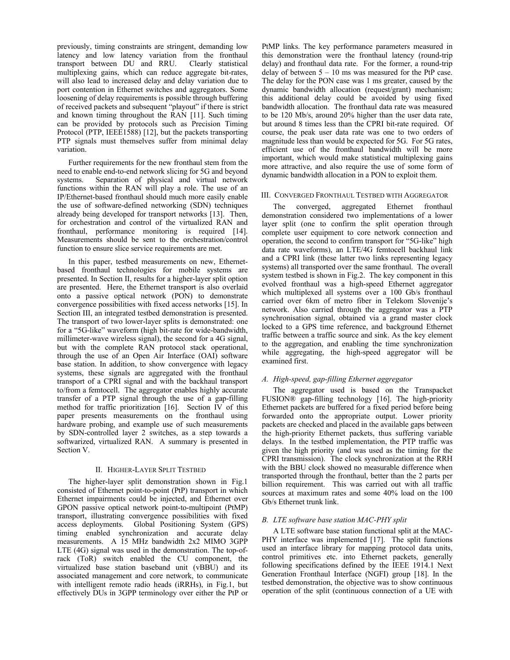previously, timing constraints are stringent, demanding low latency and low latency variation from the fronthaul transport between DU and RRU. Clearly statistical transport between DU and RRU. multiplexing gains, which can reduce aggregate bit-rates, will also lead to increased delay and delay variation due to port contention in Ethernet switches and aggregators. Some loosening of delay requirements is possible through buffering of received packets and subsequent "playout" if there is strict and known timing throughout the RAN [11]. Such timing can be provided by protocols such as Precision Timing Protocol (PTP, IEEE1588) [12], but the packets transporting PTP signals must themselves suffer from minimal delay variation.

Further requirements for the new fronthaul stem from the need to enable end-to-end network slicing for 5G and beyond systems. Separation of physical and virtual network functions within the RAN will play a role. The use of an IP/Ethernet-based fronthaul should much more easily enable the use of software-defined networking (SDN) techniques already being developed for transport networks [13]. Then, for orchestration and control of the virtualized RAN and fronthaul, performance monitoring is required [14]. Measurements should be sent to the orchestration/control function to ensure slice service requirements are met.

In this paper, testbed measurements on new, Ethernetbased fronthaul technologies for mobile systems are presented. In Section II, results for a higher-layer split option are presented. Here, the Ethernet transport is also overlaid onto a passive optical network (PON) to demonstrate convergence possibilities with fixed access networks [15]. In Section III, an integrated testbed demonstration is presented. The transport of two lower-layer splits is demonstrated: one for a "5G-like" waveform (high bit-rate for wide-bandwidth, millimeter-wave wireless signal), the second for a 4G signal, but with the complete RAN protocol stack operational, through the use of an Open Air Interface (OAI) software base station. In addition, to show convergence with legacy systems, these signals are aggregated with the fronthaul transport of a CPRI signal and with the backhaul transport to/from a femtocell. The aggregator enables highly accurate transfer of a PTP signal through the use of a gap-filling method for traffic prioritization [16]. Section IV of this paper presents measurements on the fronthaul using hardware probing, and example use of such measurements by SDN-controlled layer 2 switches, as a step towards a softwarized, virtualized RAN. A summary is presented in Section V.

#### II. HIGHER-LAYER SPLIT TESTBED

The higher-layer split demonstration shown in Fig.1 consisted of Ethernet point-to-point (PtP) transport in which Ethernet impairments could be injected, and Ethernet over GPON passive optical network point-to-multipoint (PtMP) transport, illustrating convergence possibilities with fixed access deployments. Global Positioning System (GPS) timing enabled synchronization and accurate delay measurements. A 15 MHz bandwidth 2x2 MIMO 3GPP LTE (4G) signal was used in the demonstration. The top-ofrack (ToR) switch enabled the CU component, the virtualized base station baseband unit (vBBU) and its associated management and core network, to communicate with intelligent remote radio heads (iRRHs), in Fig.1, but effectively DUs in 3GPP terminology over either the PtP or

PtMP links. The key performance parameters measured in this demonstration were the fronthaul latency (round-trip delay) and fronthaul data rate. For the former, a round-trip delay of between  $5 - 10$  ms was measured for the PtP case. The delay for the PON case was 1 ms greater, caused by the dynamic bandwidth allocation (request/grant) mechanism; this additional delay could be avoided by using fixed bandwidth allocation. The fronthaul data rate was measured to be 120 Mb/s, around 20% higher than the user data rate, but around 8 times less than the CPRI bit-rate required. Of course, the peak user data rate was one to two orders of magnitude less than would be expected for 5G. For 5G rates, efficient use of the fronthaul bandwidth will be more important, which would make statistical multiplexing gains more attractive, and also require the use of some form of dynamic bandwidth allocation in a PON to exploit them.

#### III. CONVERGED FRONTHAUL TESTBED WITH AGGREGATOR

The converged, aggregated Ethernet fronthaul demonstration considered two implementations of a lower layer split (one to confirm the split operation through complete user equipment to core network connection and operation, the second to confirm transport for "5G-like" high data rate waveforms), an LTE/4G femtocell backhaul link and a CPRI link (these latter two links representing legacy systems) all transported over the same fronthaul. The overall system testbed is shown in Fig.2. The key component in this evolved fronthaul was a high-speed Ethernet aggregator which multiplexed all systems over a 100 Gb/s fronthaul carried over 6km of metro fiber in Telekom Slovenije's network. Also carried through the aggregator was a PTP synchronisation signal, obtained via a grand master clock locked to a GPS time reference, and background Ethernet traffic between a traffic source and sink. As the key element to the aggregation, and enabling the time synchronization while aggregating, the high-speed aggregator will be examined first.

#### *A. High-speed, gap-filling Ethernet aggregator*

The aggregator used is based on the Transpacket FUSION® gap-filling technology [16]. The high-priority Ethernet packets are buffered for a fixed period before being forwarded onto the appropriate output. Lower priority packets are checked and placed in the available gaps between the high-priority Ethernet packets, thus suffering variable delays. In the testbed implementation, the PTP traffic was given the high priority (and was used as the timing for the CPRI transmission). The clock synchronization at the RRH with the BBU clock showed no measurable difference when transported through the fronthaul, better than the 2 parts per billion requirement. This was carried out with all traffic sources at maximum rates and some 40% load on the 100 Gb/s Ethernet trunk link.

#### *B. LTE software base station MAC-PHY split*

A LTE software base station functional split at the MAC-PHY interface was implemented [17]. The split functions used an interface library for mapping protocol data units, control primitives etc. into Ethernet packets, generally following specifications defined by the IEEE 1914.1 Next Generation Fronthaul Interface (NGFI) group [18]. In the testbed demonstration, the objective was to show continuous operation of the split (continuous connection of a UE with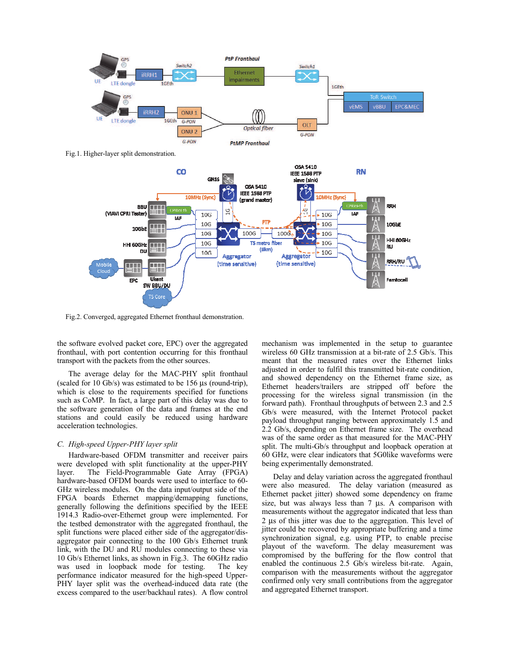

Fig.1. Higher-layer split demonstration.



Fig.2. Converged, aggregated Ethernet fronthaul demonstration.

the software evolved packet core, EPC) over the aggregated fronthaul, with port contention occurring for this fronthaul transport with the packets from the other sources.

The average delay for the MAC-PHY split fronthaul (scaled for 10 Gb/s) was estimated to be 156 µs (round-trip), which is close to the requirements specified for functions such as CoMP. In fact, a large part of this delay was due to the software generation of the data and frames at the end stations and could easily be reduced using hardware acceleration technologies.

#### *C. High-speed Upper-PHY layer split*

Hardware-based OFDM transmitter and receiver pairs were developed with split functionality at the upper-PHY layer. The Field-Programmable Gate Array (FPGA) hardware-based OFDM boards were used to interface to 60- GHz wireless modules. On the data input/output side of the FPGA boards Ethernet mapping/demapping functions, generally following the definitions specified by the IEEE 1914.3 Radio-over-Ethernet group were implemented. For the testbed demonstrator with the aggregated fronthaul, the split functions were placed either side of the aggregator/disaggregator pair connecting to the 100 Gb/s Ethernet trunk link, with the DU and RU modules connecting to these via 10 Gb/s Ethernet links, as shown in Fig.3. The 60GHz radio was used in loopback mode for testing. The key performance indicator measured for the high-speed Upper-PHY layer split was the overhead-induced data rate (the excess compared to the user/backhaul rates). A flow control

mechanism was implemented in the setup to guarantee wireless 60 GHz transmission at a bit-rate of 2.5 Gb/s. This meant that the measured rates over the Ethernet links adjusted in order to fulfil this transmitted bit-rate condition, and showed dependency on the Ethernet frame size, as Ethernet headers/trailers are stripped off before the processing for the wireless signal transmission (in the forward path). Fronthaul throughputs of between 2.3 and 2.5 Gb/s were measured, with the Internet Protocol packet payload throughput ranging between approximately 1.5 and 2.2 Gb/s, depending on Ethernet frame size. The overhead was of the same order as that measured for the MAC-PHY split. The multi-Gb/s throughput and loopback operation at 60 GHz, were clear indicators that 5G0like waveforms were being experimentally demonstrated.

Delay and delay variation across the aggregated fronthaul were also measured. The delay variation (measured as Ethernet packet jitter) showed some dependency on frame size, but was always less than 7  $\mu$ s. A comparison with measurements without the aggregator indicated that less than 2 µs of this jitter was due to the aggregation. This level of jitter could be recovered by appropriate buffering and a time synchronization signal, e.g. using PTP, to enable precise playout of the waveform. The delay measurement was compromised by the buffering for the flow control that enabled the continuous 2.5 Gb/s wireless bit-rate. Again, comparison with the measurements without the aggregator confirmed only very small contributions from the aggregator and aggregated Ethernet transport.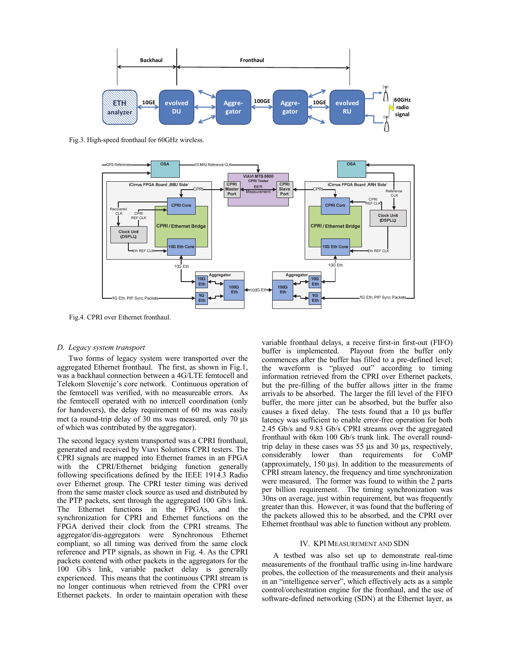

Fig.3. High-speed fronthaul for 60GHz wireless.



Fig.4. CPRI over Ethernet fronthaul.

#### *D. Legacy system transport*

Two forms of legacy system were transported over the aggregated Ethernet fronthaul. The first, as shown in Fig.1, was a backhaul connection between a 4G/LTE femtocell and Telekom Slovenije's core network. Continuous operation of the femtocell was verified, with no measureable errors. As the femtocell operated with no intercell coordination (only for handovers), the delay requirement of 60 ms was easily met (a round-trip delay of 30 ms was measured, only 70 µs of which was contributed by the aggregator).

The second legacy system transported was a CPRI fronthaul, generated and received by Viavi Solutions CPRI testers. The CPRI signals are mapped into Ethernet frames in an FPGA with the CPRI/Ethernet bridging function generally following specifications defined by the IEEE 1914.3 Radio over Ethernet group. The CPRI tester timing was derived from the same master clock source as used and distributed by the PTP packets, sent through the aggregated 100 Gb/s link. The Ethernet functions in the FPGAs, and the synchronization for CPRI and Ethernet functions on the FPGA derived their clock from the CPRI streams. The aggregator/dis-aggregators were Synchronous Ethernet compliant, so all timing was derived from the same clock reference and PTP signals, as shown in Fig. 4. As the CPRI packets contend with other packets in the aggregators for the 100 Gb/s link, variable packet delay is generally experienced. This means that the continuous CPRI stream is no longer continuous when retrieved from the CPRI over Ethernet packets. In order to maintain operation with these

variable fronthaul delays, a receive first-in first-out (FIFO) buffer is implemented. Playout from the buffer only commences after the buffer has filled to a pre-defined level; the waveform is "played out" according to timing information retrieved from the CPRI over Ethernet packets, but the pre-filling of the buffer allows jitter in the frame arrivals to be absorbed. The larger the fill level of the FIFO buffer, the more jitter can be absorbed, but the buffer also causes a fixed delay. The tests found that a 10 µs buffer latency was sufficient to enable error-free operation for both 2.45 Gb/s and 9.83 Gb/s CPRI streams over the aggregated fronthaul with 6km 100 Gb/s trunk link. The overall roundtrip delay in these cases was 55 µs and 30 µs, respectively, considerably lower than requirements for CoMP (approximately, 150 µs). In addition to the measurements of CPRI stream latency, the frequency and time synchronization were measured. The former was found to within the 2 parts per billion requirement. The timing synchronization was 30ns on average, just within requirement, but was frequently greater than this. However, it was found that the buffering of the packets allowed this to be absorbed, and the CPRI over Ethernet fronthaul was able to function without any problem.

#### IV. KPI MEASUREMENT AND SDN

A testbed was also set up to demonstrate real-time measurements of the fronthaul traffic using in-line hardware probes, the collection of the measurements and their analysis in an "intelligence server", which effectively acts as a simple control/orchestration engine for the fronthaul, and the use of software-defined networking (SDN) at the Ethernet layer, as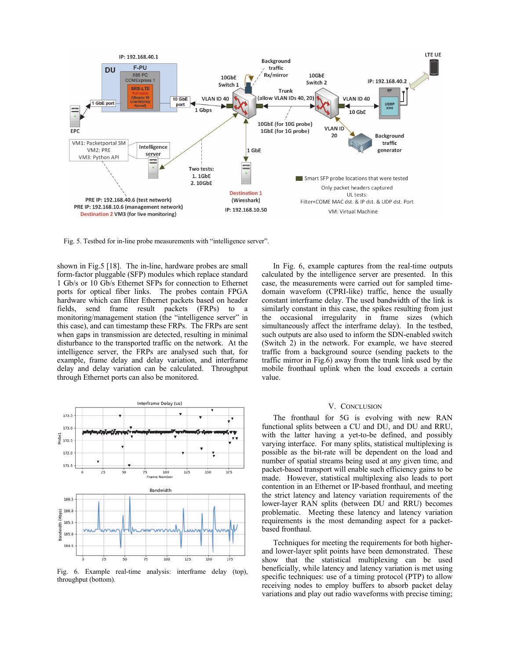

Fig. 5. Testbed for in-line probe measurements with "intelligence server".

shown in Fig.5 [18]. The in-line, hardware probes are small form-factor pluggable (SFP) modules which replace standard 1 Gb/s or 10 Gb/s Ethernet SFPs for connection to Ethernet ports for optical fiber links. The probes contain FPGA hardware which can filter Ethernet packets based on header fields, send frame result packets (FRPs) to a monitoring/management station (the "intelligence server" in this case), and can timestamp these FRPs. The FRPs are sent when gaps in transmission are detected, resulting in minimal disturbance to the transported traffic on the network. At the intelligence server, the FRPs are analysed such that, for example, frame delay and delay variation, and interframe delay and delay variation can be calculated. Throughput through Ethernet ports can also be monitored.



Fig. 6. Example real-time analysis: interframe delay (top), throughput (bottom).

In Fig. 6, example captures from the real-time outputs calculated by the intelligence server are presented. In this case, the measurements were carried out for sampled timedomain waveform (CPRI-like) traffic, hence the usually constant interframe delay. The used bandwidth of the link is similarly constant in this case, the spikes resulting from just the occasional irregularity in frame sizes (which simultaneously affect the interframe delay). In the testbed, such outputs are also used to inform the SDN-enabled switch (Switch 2) in the network. For example, we have steered traffic from a background source (sending packets to the traffic mirror in Fig.6) away from the trunk link used by the mobile fronthaul uplink when the load exceeds a certain value.

#### V. CONCLUSION

The fronthaul for 5G is evolving with new RAN functional splits between a CU and DU, and DU and RRU, with the latter having a yet-to-be defined, and possibly varying interface. For many splits, statistical multiplexing is possible as the bit-rate will be dependent on the load and number of spatial streams being used at any given time, and packet-based transport will enable such efficiency gains to be made. However, statistical multiplexing also leads to port contention in an Ethernet or IP-based fronthaul, and meeting the strict latency and latency variation requirements of the lower-layer RAN splits (between DU and RRU) becomes problematic. Meeting these latency and latency variation requirements is the most demanding aspect for a packetbased fronthaul.

Techniques for meeting the requirements for both higherand lower-layer split points have been demonstrated. These show that the statistical multiplexing can be used beneficially, while latency and latency variation is met using specific techniques: use of a timing protocol (PTP) to allow receiving nodes to employ buffers to absorb packet delay variations and play out radio waveforms with precise timing;